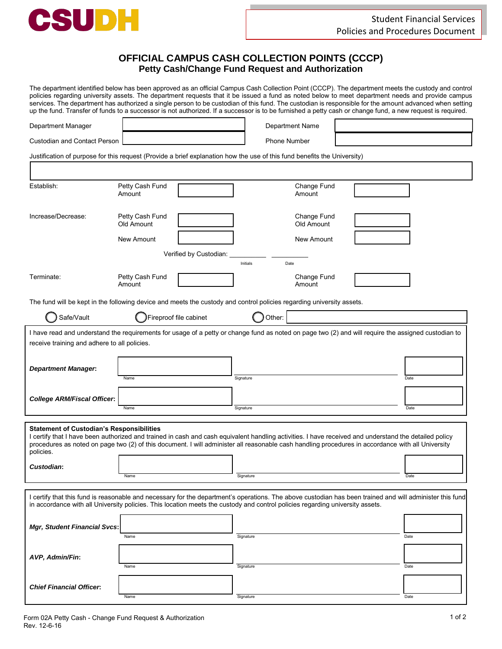

## **OFFICIAL CAMPUS CASH COLLECTION POINTS (CCCP) Petty Cash/Change Fund Request and Authorization**

The department identified below has been approved as an official Campus Cash Collection Point (CCCP). The department meets the custody and control policies regarding university assets. The department requests that it be issued a fund as noted below to meet department needs and provide campus services. The department has authorized a single person to be custodian of this fund. The custodian is responsible for the amount advanced when setting up the fund. Transfer of funds to a successor is not authorized. If a successor is to be furnished a petty cash or change fund, a new request is required.

| Department Manager                                                                                                                                                                                                                                                                                                                                                          |                               |           | <b>Department Name</b>    |  |      |
|-----------------------------------------------------------------------------------------------------------------------------------------------------------------------------------------------------------------------------------------------------------------------------------------------------------------------------------------------------------------------------|-------------------------------|-----------|---------------------------|--|------|
| <b>Custodian and Contact Person</b>                                                                                                                                                                                                                                                                                                                                         |                               |           | <b>Phone Number</b>       |  |      |
| Justification of purpose for this request (Provide a brief explanation how the use of this fund benefits the University)                                                                                                                                                                                                                                                    |                               |           |                           |  |      |
|                                                                                                                                                                                                                                                                                                                                                                             |                               |           |                           |  |      |
| Establish:                                                                                                                                                                                                                                                                                                                                                                  | Petty Cash Fund<br>Amount     |           | Change Fund<br>Amount     |  |      |
| Increase/Decrease:                                                                                                                                                                                                                                                                                                                                                          | Petty Cash Fund<br>Old Amount |           | Change Fund<br>Old Amount |  |      |
|                                                                                                                                                                                                                                                                                                                                                                             | New Amount                    |           | New Amount                |  |      |
| Verified by Custodian:                                                                                                                                                                                                                                                                                                                                                      |                               |           |                           |  |      |
|                                                                                                                                                                                                                                                                                                                                                                             |                               |           | Date<br>Initials          |  |      |
| Terminate:                                                                                                                                                                                                                                                                                                                                                                  | Petty Cash Fund<br>Amount     |           | Change Fund<br>Amount     |  |      |
| The fund will be kept in the following device and meets the custody and control policies regarding university assets.                                                                                                                                                                                                                                                       |                               |           |                           |  |      |
| Safe/Vault                                                                                                                                                                                                                                                                                                                                                                  | Fireproof file cabinet        |           | Other:                    |  |      |
| I have read and understand the requirements for usage of a petty or change fund as noted on page two (2) and will require the assigned custodian to                                                                                                                                                                                                                         |                               |           |                           |  |      |
| receive training and adhere to all policies.                                                                                                                                                                                                                                                                                                                                |                               |           |                           |  |      |
|                                                                                                                                                                                                                                                                                                                                                                             |                               |           |                           |  |      |
| <b>Department Manager.</b>                                                                                                                                                                                                                                                                                                                                                  | Name                          | Signature |                           |  | Date |
|                                                                                                                                                                                                                                                                                                                                                                             |                               |           |                           |  |      |
| <b>College ARM/Fiscal Officer:</b>                                                                                                                                                                                                                                                                                                                                          | Name                          |           | Signature                 |  | Date |
|                                                                                                                                                                                                                                                                                                                                                                             |                               |           |                           |  |      |
| <b>Statement of Custodian's Responsibilities</b><br>I certify that I have been authorized and trained in cash and cash equivalent handling activities. I have received and understand the detailed policy<br>procedures as noted on page two (2) of this document. I will administer all reasonable cash handling procedures in accordance with all University<br>policies. |                               |           |                           |  |      |
| Custodian:                                                                                                                                                                                                                                                                                                                                                                  |                               |           |                           |  |      |
|                                                                                                                                                                                                                                                                                                                                                                             | Name                          |           | Signature                 |  | Date |
| I certify that this fund is reasonable and necessary for the department's operations. The above custodian has been trained and will administer this fund<br>in accordance with all University policies. This location meets the custody and control policies regarding university assets.                                                                                   |                               |           |                           |  |      |
| <b>Mgr, Student Financial Svcs:</b>                                                                                                                                                                                                                                                                                                                                         | Name                          |           | Signature                 |  | Date |
|                                                                                                                                                                                                                                                                                                                                                                             |                               |           |                           |  |      |
| AVP, Admin/Fin:                                                                                                                                                                                                                                                                                                                                                             | Name                          |           | Signature                 |  | Date |
|                                                                                                                                                                                                                                                                                                                                                                             |                               |           |                           |  |      |
| <b>Chief Financial Officer:</b>                                                                                                                                                                                                                                                                                                                                             |                               |           |                           |  |      |
|                                                                                                                                                                                                                                                                                                                                                                             | Name                          |           | Signature                 |  | Date |